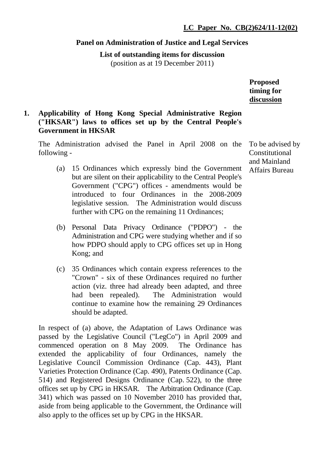### **Panel on Administration of Justice and Legal Services**

**List of outstanding items for discussion**  (position as at 19 December 2011)

**Proposed timing for discussion**

# **1. Applicability of Hong Kong Special Administrative Region ("HKSAR") laws to offices set up by the Central People's Government in HKSAR**

The Administration advised the Panel in April 2008 on the following -

- (a) 15 Ordinances which expressly bind the Government but are silent on their applicability to the Central People's Government ("CPG") offices - amendments would be introduced to four Ordinances in the 2008-2009 legislative session. The Administration would discuss further with CPG on the remaining 11 Ordinances;
- (b) Personal Data Privacy Ordinance ("PDPO") the Administration and CPG were studying whether and if so how PDPO should apply to CPG offices set up in Hong Kong; and
- (c) 35 Ordinances which contain express references to the "Crown" - six of these Ordinances required no further action (viz. three had already been adapted, and three had been repealed). The Administration would continue to examine how the remaining 29 Ordinances should be adapted.

In respect of (a) above, the Adaptation of Laws Ordinance was passed by the Legislative Council ("LegCo") in April 2009 and commenced operation on 8 May 2009. The Ordinance has extended the applicability of four Ordinances, namely the Legislative Council Commission Ordinance (Cap. 443), Plant Varieties Protection Ordinance (Cap. 490), Patents Ordinance (Cap. 514) and Registered Designs Ordinance (Cap. 522), to the three offices set up by CPG in HKSAR. The Arbitration Ordinance (Cap. 341) which was passed on 10 November 2010 has provided that, aside from being applicable to the Government, the Ordinance will also apply to the offices set up by CPG in the HKSAR.

To be advised by Constitutional and Mainland Affairs Bureau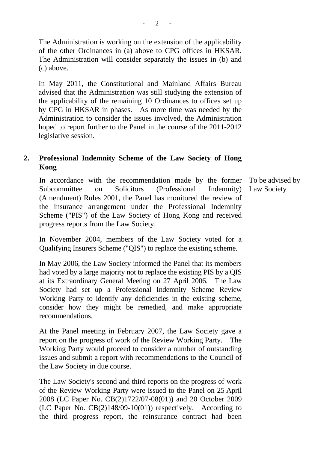The Administration is working on the extension of the applicability of the other Ordinances in (a) above to CPG offices in HKSAR. The Administration will consider separately the issues in (b) and (c) above.

In May 2011, the Constitutional and Mainland Affairs Bureau advised that the Administration was still studying the extension of the applicability of the remaining 10 Ordinances to offices set up by CPG in HKSAR in phases. As more time was needed by the Administration to consider the issues involved, the Administration hoped to report further to the Panel in the course of the 2011-2012 legislative session.

# **2. Professional Indemnity Scheme of the Law Society of Hong Kong**

In accordance with the recommendation made by the former Subcommittee on Solicitors (Professional Indemnity) (Amendment) Rules 2001, the Panel has monitored the review of the insurance arrangement under the Professional Indemnity Scheme ("PIS") of the Law Society of Hong Kong and received progress reports from the Law Society.

In November 2004, members of the Law Society voted for a Qualifying Insurers Scheme ("QIS") to replace the existing scheme.

In May 2006, the Law Society informed the Panel that its members had voted by a large majority not to replace the existing PIS by a QIS at its Extraordinary General Meeting on 27 April 2006. The Law Society had set up a Professional Indemnity Scheme Review Working Party to identify any deficiencies in the existing scheme, consider how they might be remedied, and make appropriate recommendations.

At the Panel meeting in February 2007, the Law Society gave a report on the progress of work of the Review Working Party. The Working Party would proceed to consider a number of outstanding issues and submit a report with recommendations to the Council of the Law Society in due course.

The Law Society's second and third reports on the progress of work of the Review Working Party were issued to the Panel on 25 April 2008 (LC Paper No. CB(2)1722/07-08(01)) and 20 October 2009 (LC Paper No. CB(2)148/09-10(01)) respectively. According to the third progress report, the reinsurance contract had been

To be advised by Law Society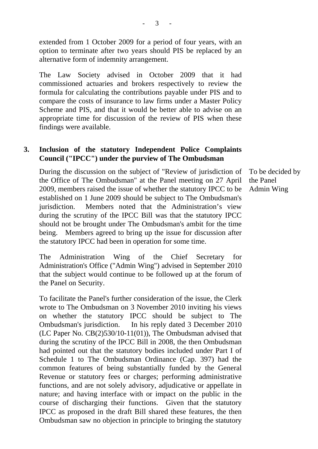extended from 1 October 2009 for a period of four years, with an option to terminate after two years should PIS be replaced by an alternative form of indemnity arrangement.

The Law Society advised in October 2009 that it had commissioned actuaries and brokers respectively to review the formula for calculating the contributions payable under PIS and to compare the costs of insurance to law firms under a Master Policy Scheme and PIS, and that it would be better able to advise on an appropriate time for discussion of the review of PIS when these findings were available.

## **3. Inclusion of the statutory Independent Police Complaints Council ("IPCC") under the purview of The Ombudsman**

During the discussion on the subject of "Review of jurisdiction of the Office of The Ombudsman" at the Panel meeting on 27 April 2009, members raised the issue of whether the statutory IPCC to be established on 1 June 2009 should be subject to The Ombudsman's jurisdiction. Members noted that the Administration's view during the scrutiny of the IPCC Bill was that the statutory IPCC should not be brought under The Ombudsman's ambit for the time being. Members agreed to bring up the issue for discussion after the statutory IPCC had been in operation for some time.

The Administration Wing of the Chief Secretary for Administration's Office ("Admin Wing") advised in September 2010 that the subject would continue to be followed up at the forum of the Panel on Security.

To facilitate the Panel's further consideration of the issue, the Clerk wrote to The Ombudsman on 3 November 2010 inviting his views on whether the statutory IPCC should be subject to The Ombudsman's jurisdiction. In his reply dated 3 December 2010 (LC Paper No. CB(2)530/10-11(01)), The Ombudsman advised that during the scrutiny of the IPCC Bill in 2008, the then Ombudsman had pointed out that the statutory bodies included under Part I of Schedule 1 to The Ombudsman Ordinance (Cap. 397) had the common features of being substantially funded by the General Revenue or statutory fees or charges; performing administrative functions, and are not solely advisory, adjudicative or appellate in nature; and having interface with or impact on the public in the course of discharging their functions. Given that the statutory IPCC as proposed in the draft Bill shared these features, the then Ombudsman saw no objection in principle to bringing the statutory

To be decided by the Panel Admin Wing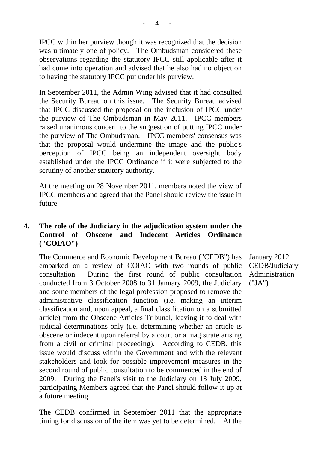IPCC within her purview though it was recognized that the decision was ultimately one of policy. The Ombudsman considered these observations regarding the statutory IPCC still applicable after it had come into operation and advised that he also had no objection to having the statutory IPCC put under his purview.

In September 2011, the Admin Wing advised that it had consulted the Security Bureau on this issue. The Security Bureau advised that IPCC discussed the proposal on the inclusion of IPCC under the purview of The Ombudsman in May 2011. IPCC members raised unanimous concern to the suggestion of putting IPCC under the purview of The Ombudsman. IPCC members' consensus was that the proposal would undermine the image and the public's perception of IPCC being an independent oversight body established under the IPCC Ordinance if it were subjected to the scrutiny of another statutory authority.

At the meeting on 28 November 2011, members noted the view of IPCC members and agreed that the Panel should review the issue in future.

# **4. The role of the Judiciary in the adjudication system under the Control of Obscene and Indecent Articles Ordinance ("COIAO")**

The Commerce and Economic Development Bureau ("CEDB") has embarked on a review of COIAO with two rounds of public consultation. During the first round of public consultation conducted from 3 October 2008 to 31 January 2009, the Judiciary and some members of the legal profession proposed to remove the administrative classification function (i.e. making an interim classification and, upon appeal, a final classification on a submitted article) from the Obscene Articles Tribunal, leaving it to deal with judicial determinations only (i.e. determining whether an article is obscene or indecent upon referral by a court or a magistrate arising from a civil or criminal proceeding). According to CEDB, this issue would discuss within the Government and with the relevant stakeholders and look for possible improvement measures in the second round of public consultation to be commenced in the end of 2009. During the Panel's visit to the Judiciary on 13 July 2009, participating Members agreed that the Panel should follow it up at a future meeting.

The CEDB confirmed in September 2011 that the appropriate timing for discussion of the item was yet to be determined. At the

January 2012 CEDB/Judiciary Administration ("JA")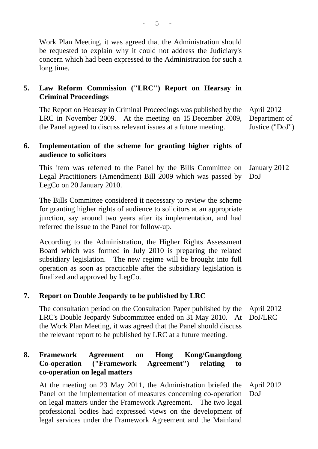Work Plan Meeting, it was agreed that the Administration should be requested to explain why it could not address the Judiciary's concern which had been expressed to the Administration for such a long time.

# **5. Law Reform Commission ("LRC") Report on Hearsay in Criminal Proceedings**

The Report on Hearsay in Criminal Proceedings was published by the LRC in November 2009. At the meeting on 15 December 2009, the Panel agreed to discuss relevant issues at a future meeting. April 2012 Department of Justice ("DoJ")

# **6. Implementation of the scheme for granting higher rights of audience to solicitors**

This item was referred to the Panel by the Bills Committee on Legal Practitioners (Amendment) Bill 2009 which was passed by LegCo on 20 January 2010. January 2012 DoJ

The Bills Committee considered it necessary to review the scheme for granting higher rights of audience to solicitors at an appropriate junction, say around two years after its implementation, and had referred the issue to the Panel for follow-up.

According to the Administration, the Higher Rights Assessment Board which was formed in July 2010 is preparing the related subsidiary legislation. The new regime will be brought into full operation as soon as practicable after the subsidiary legislation is finalized and approved by LegCo.

## **7. Report on Double Jeopardy to be published by LRC**

The consultation period on the Consultation Paper published by the LRC's Double Jeopardy Subcommittee ended on 31 May 2010. At the Work Plan Meeting, it was agreed that the Panel should discuss the relevant report to be published by LRC at a future meeting. April 2012 DoJ/LRC

# **8. Framework Agreement on Hong Kong/Guangdong Co-operation ("Framework Agreement") relating to co-operation on legal matters**

At the meeting on 23 May 2011, the Administration briefed the Panel on the implementation of measures concerning co-operation on legal matters under the Framework Agreement. The two legal professional bodies had expressed views on the development of legal services under the Framework Agreement and the Mainland April 2012 DoJ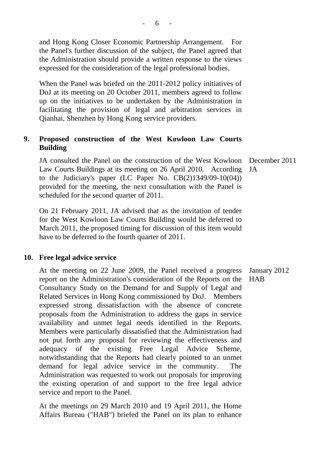and Hong Kong Closer Economic Partnership Arrangement. For the Panel's further discussion of the subject, the Panel agreed that the Administration should provide a written response to the views expressed for the consideration of the legal professional bodies.

When the Panel was briefed on the 2011-2012 policy initiatives of DoJ at its meeting on 20 October 2011, members agreed to follow up on the initiatives to be undertaken by the Administration in facilitating the provision of legal and arbitration services in Qianhai, Shenzhen by Hong Kong service providers.

## **9. Proposed construction of the West Kowloon Law Courts Building**

JA consulted the Panel on the construction of the West Kowloon Law Courts Buildings at its meeting on 26 April 2010. According to the Judiciary's paper (LC Paper No. CB(2)1349/09-10(04)) provided for the meeting, the next consultation with the Panel is scheduled for the second quarter of 2011. JA

On 21 February 2011, JA advised that as the invitation of tender for the West Kowloon Law Courts Building would be deferred to March 2011, the proposed timing for discussion of this item would have to be deferred to the fourth quarter of 2011.

### **10. Free legal advice service**

At the meeting on 22 June 2009, the Panel received a progress report on the Administration's consideration of the Reports on the Consultancy Study on the Demand for and Supply of Legal and Related Services in Hong Kong commissioned by DoJ. Members expressed strong dissatisfaction with the absence of concrete proposals from the Administration to address the gaps in service availability and unmet legal needs identified in the Reports. Members were particularly dissatisfied that the Administration had not put forth any proposal for reviewing the effectiveness and adequacy of the existing Free Legal Advice Scheme, notwithstanding that the Reports had clearly pointed to an unmet demand for legal advice service in the community. The Administration was requested to work out proposals for improving the existing operation of and support to the free legal advice service and report to the Panel. January 2012 HAB

At the meetings on 29 March 2010 and 19 April 2011, the Home Affairs Bureau ("HAB") briefed the Panel on its plan to enhance

December 2011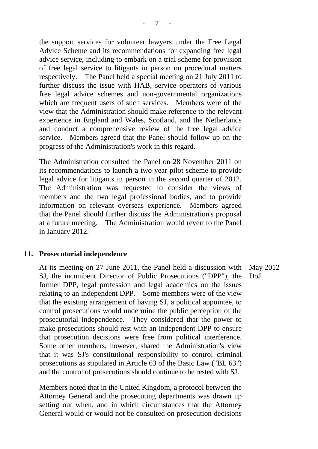the support services for volunteer lawyers under the Free Legal Advice Scheme and its recommendations for expanding free legal advice service, including to embark on a trial scheme for provision of free legal service to litigants in person on procedural matters respectively. The Panel held a special meeting on 21 July 2011 to further discuss the issue with HAB, service operators of various free legal advice schemes and non-governmental organizations which are frequent users of such services. Members were of the view that the Administration should make reference to the relevant experience in England and Wales, Scotland, and the Netherlands and conduct a comprehensive review of the free legal advice service. Members agreed that the Panel should follow up on the progress of the Administration's work in this regard.

The Administration consulted the Panel on 28 November 2011 on its recommendations to launch a two-year pilot scheme to provide legal advice for litigants in person in the second quarter of 2012. The Administration was requested to consider the views of members and the two legal professional bodies, and to provide information on relevant overseas experience. Members agreed that the Panel should further discuss the Administration's proposal at a future meeting. The Administration would revert to the Panel in January 2012.

### **11. Prosecutorial independence**

At its meeting on 27 June 2011, the Panel held a discussion with SJ, the incumbent Director of Public Prosecutions ("DPP"), the former DPP, legal profession and legal academics on the issues relating to an independent DPP. Some members were of the view that the existing arrangement of having SJ, a political appointee, to control prosecutions would undermine the public perception of the prosecutorial independence. They considered that the power to make prosecutions should rest with an independent DPP to ensure that prosecution decisions were free from political interference. Some other members, however, shared the Administration's view that it was SJ's constitutional responsibility to control criminal prosecutions as stipulated in Article 63 of the Basic Law ("BL 63") and the control of prosecutions should continue to be rested with SJ. May 2012 DoJ

Members noted that in the United Kingdom, a protocol between the Attorney General and the prosecuting departments was drawn up setting out when, and in which circumstances that the Attorney General would or would not be consulted on prosecution decisions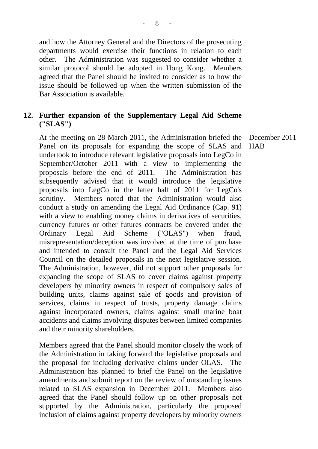and how the Attorney General and the Directors of the prosecuting departments would exercise their functions in relation to each other. The Administration was suggested to consider whether a similar protocol should be adopted in Hong Kong. Members agreed that the Panel should be invited to consider as to how the issue should be followed up when the written submission of the Bar Association is available.

## **12. Further expansion of the Supplementary Legal Aid Scheme ("SLAS")**

At the meeting on 28 March 2011, the Administration briefed the Panel on its proposals for expanding the scope of SLAS and undertook to introduce relevant legislative proposals into LegCo in September/October 2011 with a view to implementing the proposals before the end of 2011. The Administration has subsequently advised that it would introduce the legislative proposals into LegCo in the latter half of 2011 for LegCo's scrutiny. Members noted that the Administration would also conduct a study on amending the Legal Aid Ordinance (Cap. 91) with a view to enabling money claims in derivatives of securities, currency futures or other futures contracts be covered under the Ordinary Legal Aid Scheme ("OLAS") when fraud, misrepresentation/deception was involved at the time of purchase and intended to consult the Panel and the Legal Aid Services Council on the detailed proposals in the next legislative session. The Administration, however, did not support other proposals for expanding the scope of SLAS to cover claims against property developers by minority owners in respect of compulsory sales of building units, claims against sale of goods and provision of services, claims in respect of trusts, property damage claims against incorporated owners, claims against small marine boat accidents and claims involving disputes between limited companies and their minority shareholders.

Members agreed that the Panel should monitor closely the work of the Administration in taking forward the legislative proposals and the proposal for including derivative claims under OLAS. The Administration has planned to brief the Panel on the legislative amendments and submit report on the review of outstanding issues related to SLAS expansion in December 2011. Members also agreed that the Panel should follow up on other proposals not supported by the Administration, particularly the proposed inclusion of claims against property developers by minority owners

December 2011 HAB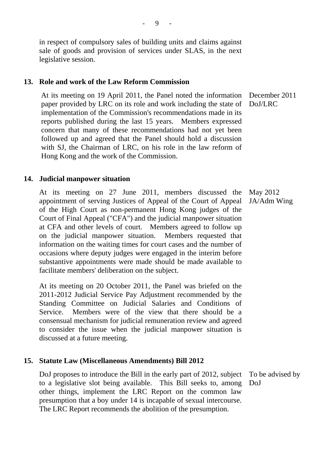in respect of compulsory sales of building units and claims against sale of goods and provision of services under SLAS, in the next legislative session.

### **13. Role and work of the Law Reform Commission**

At its meeting on 19 April 2011, the Panel noted the information paper provided by LRC on its role and work including the state of implementation of the Commission's recommendations made in its reports published during the last 15 years. Members expressed concern that many of these recommendations had not yet been followed up and agreed that the Panel should hold a discussion with SJ, the Chairman of LRC, on his role in the law reform of Hong Kong and the work of the Commission. DoJ/LRC

### **14. Judicial manpower situation**

At its meeting on 27 June 2011, members discussed the appointment of serving Justices of Appeal of the Court of Appeal of the High Court as non-permanent Hong Kong judges of the Court of Final Appeal ("CFA") and the judicial manpower situation at CFA and other levels of court. Members agreed to follow up on the judicial manpower situation. Members requested that information on the waiting times for court cases and the number of occasions where deputy judges were engaged in the interim before substantive appointments were made should be made available to facilitate members' deliberation on the subject. JA/Adm Wing

At its meeting on 20 October 2011, the Panel was briefed on the 2011-2012 Judicial Service Pay Adjustment recommended by the Standing Committee on Judicial Salaries and Conditions of Service. Members were of the view that there should be a consensual mechanism for judicial remuneration review and agreed to consider the issue when the judicial manpower situation is discussed at a future meeting.

### **15. Statute Law (Miscellaneous Amendments) Bill 2012**

DoJ proposes to introduce the Bill in the early part of 2012, subject to a legislative slot being available. This Bill seeks to, among other things, implement the LRC Report on the common law presumption that a boy under 14 is incapable of sexual intercourse. The LRC Report recommends the abolition of the presumption.

To be advised by DoJ

May 2012

December 2011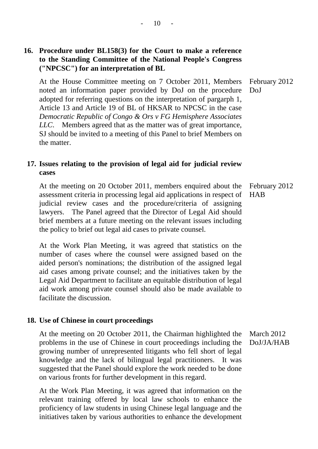## **16. Procedure under BL158(3) for the Court to make a reference to the Standing Committee of the National People's Congress ("NPCSC") for an interpretation of BL**

At the House Committee meeting on 7 October 2011, Members noted an information paper provided by DoJ on the procedure adopted for referring questions on the interpretation of pargarph 1, Article 13 and Article 19 of BL of HKSAR to NPCSC in the case *Democratic Republic of Congo & Ors v FG Hemisphere Associates LLC*. Members agreed that as the matter was of great importance, SJ should be invited to a meeting of this Panel to brief Members on the matter. DoJ

## **17. Issues relating to the provision of legal aid for judicial review cases**

At the meeting on 20 October 2011, members enquired about the assessment criteria in processing legal aid applications in respect of judicial review cases and the procedure/criteria of assigning lawyers. The Panel agreed that the Director of Legal Aid should brief members at a future meeting on the relevant issues including the policy to brief out legal aid cases to private counsel. February 2012 **HAB** 

At the Work Plan Meeting, it was agreed that statistics on the number of cases where the counsel were assigned based on the aided person's nominations; the distribution of the assigned legal aid cases among private counsel; and the initiatives taken by the Legal Aid Department to facilitate an equitable distribution of legal aid work among private counsel should also be made available to facilitate the discussion.

#### **18. Use of Chinese in court proceedings**

At the meeting on 20 October 2011, the Chairman highlighted the problems in the use of Chinese in court proceedings including the growing number of unrepresented litigants who fell short of legal knowledge and the lack of bilingual legal practitioners. It was suggested that the Panel should explore the work needed to be done on various fronts for further development in this regard. March 2012

At the Work Plan Meeting, it was agreed that information on the relevant training offered by local law schools to enhance the proficiency of law students in using Chinese legal language and the initiatives taken by various authorities to enhance the development

February 2012

DoJ/JA/HAB